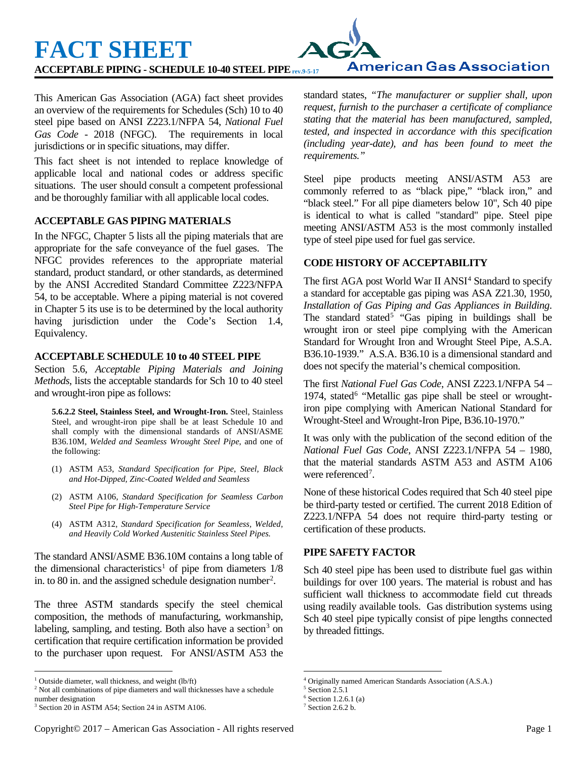**ACCEPTABLE PIPING - SCHEDULE 10-40 STEEL PIPErev.9-5-17**

This American Gas Association (AGA) fact sheet provides an overview of the requirements for Schedules (Sch) 10 to 40 steel pipe based on ANSI Z223.1/NFPA 54, *National Fuel Gas Code* - 2018 (NFGC). The requirements in local jurisdictions or in specific situations, may differ.

This fact sheet is not intended to replace knowledge of applicable local and national codes or address specific situations. The user should consult a competent professional and be thoroughly familiar with all applicable local codes.

## **ACCEPTABLE GAS PIPING MATERIALS**

**FACT SHEET** 

In the NFGC, Chapter 5 lists all the piping materials that are appropriate for the safe conveyance of the fuel gases. The NFGC provides references to the appropriate material standard, product standard, or other standards, as determined by the ANSI Accredited Standard Committee Z223/NFPA 54, to be acceptable. Where a piping material is not covered in Chapter 5 its use is to be determined by the local authority having jurisdiction under the Code's Section 1.4, Equivalency.

### **ACCEPTABLE SCHEDULE 10 to 40 STEEL PIPE**

Section 5.6, *Acceptable Piping Materials and Joining Methods*, lists the acceptable standards for Sch 10 to 40 steel and wrought-iron pipe as follows:

**5.6.2.2 Steel, Stainless Steel, and Wrought-Iron.** Steel, Stainless Steel, and wrought-iron pipe shall be at least Schedule 10 and shall comply with the dimensional standards of ANSI/ASME B36.10M, *Welded and Seamless Wrought Steel Pipe*, and one of the following:

- (1) ASTM A53, *Standard Specification for Pipe, Steel, Black and Hot-Dipped, Zinc-Coated Welded and Seamless*
- (2) ASTM A106, *Standard Specification for Seamless Carbon Steel Pipe for High-Temperature Service*
- (4) ASTM A312, *Standard Specification for Seamless, Welded, and Heavily Cold Worked Austenitic Stainless Steel Pipes.*

The standard ANSI/ASME B36.10M contains a long table of the dimensional characteristics<sup>[1](#page-0-0)</sup> of pipe from diameters  $1/8$ in. to 80 in. and the assigned schedule designation number<sup>[2](#page-0-1)</sup>.

The three ASTM standards specify the steel chemical composition, the methods of manufacturing, workmanship, labeling, sampling, and testing. Both also have a section<sup>[3](#page-0-2)</sup> on certification that require certification information be provided to the purchaser upon request. For ANSI/ASTM A53 the standard states, *"The manufacturer or supplier shall, upon request, furnish to the purchaser a certificate of compliance stating that the material has been manufactured, sampled, tested, and inspected in accordance with this specification (including year-date), and has been found to meet the requirements."*

**American Gas Association** 

Steel pipe products meeting ANSI/ASTM A53 are commonly referred to as "black pipe," "black iron," and "black steel." For all pipe diameters below 10", Sch 40 pipe is identical to what is called "standard" pipe. Steel pipe meeting ANSI/ASTM A53 is the most commonly installed type of steel pipe used for fuel gas service.

## **CODE HISTORY OF ACCEPTABILITY**

The first AGA post World War II ANSI<sup>[4](#page-0-0)</sup> Standard to specify a standard for acceptable gas piping was ASA Z21.30, 1950, *Installation of Gas Piping and Gas Appliances in Building*. The standard stated<sup>[5](#page-0-1)</sup> "Gas piping in buildings shall be wrought iron or steel pipe complying with the American Standard for Wrought Iron and Wrought Steel Pipe, A.S.A. B36.10-1939." A.S.A. B36.10 is a dimensional standard and does not specify the material's chemical composition.

The first *National Fuel Gas Code*, ANSI Z223.1/NFPA 54 – 1974, stated $<sup>6</sup>$  $<sup>6</sup>$  $<sup>6</sup>$  "Metallic gas pipe shall be steel or wrought-</sup> iron pipe complying with American National Standard for Wrought-Steel and Wrought-Iron Pipe, B36.10-1970."

It was only with the publication of the second edition of the *National Fuel Gas Code*, ANSI Z223.1/NFPA 54 – 1980, that the material standards ASTM A53 and ASTM A106 were referenced<sup>[7](#page-0-2)</sup>.

None of these historical Codes required that Sch 40 steel pipe be third-party tested or certified. The current 2018 Edition of Z223.1/NFPA 54 does not require third-party testing or certification of these products.

### **PIPE SAFETY FACTOR**

Sch 40 steel pipe has been used to distribute fuel gas within buildings for over 100 years. The material is robust and has sufficient wall thickness to accommodate field cut threads using readily available tools. Gas distribution systems using Sch 40 steel pipe typically consist of pipe lengths connected by threaded fittings.

<span id="page-0-0"></span><sup>&</sup>lt;sup>1</sup> Outside diameter, wall thickness, and weight (lb/ft)

<span id="page-0-3"></span><span id="page-0-1"></span><sup>2</sup> Not all combinations of pipe diameters and wall thicknesses have a schedule number designation

<span id="page-0-2"></span><sup>3</sup> Section 20 in ASTM A54; Section 24 in ASTM A106.

 <sup>4</sup> Originally named American Standards Association (A.S.A.)

<sup>5</sup> Section 2.5.1

 $6$  Section 1.2.6.1 (a)

 $7$  Section 2.6.2 b.